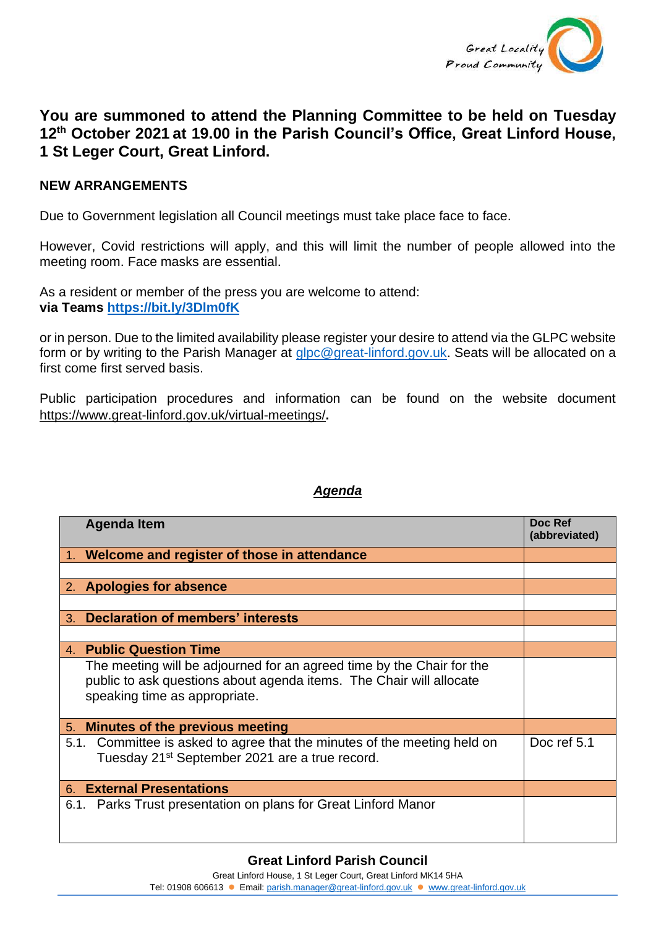

## **You are summoned to attend the Planning Committee to be held on Tuesday 12th October 2021 at 19.00 in the Parish Council's Office, Great Linford House, 1 St Leger Court, Great Linford.**

## **NEW ARRANGEMENTS**

Due to Government legislation all Council meetings must take place face to face.

However, Covid restrictions will apply, and this will limit the number of people allowed into the meeting room. Face masks are essential.

As a resident or member of the press you are welcome to attend: **via Teams <https://bit.ly/3Dlm0fK>**

or in person. Due to the limited availability please register your desire to attend via the GLPC website form or by writing to the Parish Manager at [glpc@great-linford.gov.uk.](mailto:glpc@great-linford.gov.uk) Seats will be allocated on a first come first served basis.

Public participation procedures and information can be found on the website document <https://www.great-linford.gov.uk/virtual-meetings/>**.**

## *Agenda*

|                                     | <b>Agenda Item</b>                                                                                                                                                            | Doc Ref<br>(abbreviated) |
|-------------------------------------|-------------------------------------------------------------------------------------------------------------------------------------------------------------------------------|--------------------------|
|                                     | 1. Welcome and register of those in attendance                                                                                                                                |                          |
|                                     |                                                                                                                                                                               |                          |
|                                     | 2. Apologies for absence                                                                                                                                                      |                          |
|                                     |                                                                                                                                                                               |                          |
|                                     | 3. Declaration of members' interests                                                                                                                                          |                          |
|                                     |                                                                                                                                                                               |                          |
|                                     | 4. Public Question Time                                                                                                                                                       |                          |
|                                     | The meeting will be adjourned for an agreed time by the Chair for the<br>public to ask questions about agenda items. The Chair will allocate<br>speaking time as appropriate. |                          |
| 5.                                  | Minutes of the previous meeting                                                                                                                                               |                          |
|                                     | 5.1. Committee is asked to agree that the minutes of the meeting held on<br>Tuesday 21 <sup>st</sup> September 2021 are a true record.                                        | Doc ref 5.1              |
| <b>External Presentations</b><br>6. |                                                                                                                                                                               |                          |
|                                     | 6.1. Parks Trust presentation on plans for Great Linford Manor                                                                                                                |                          |